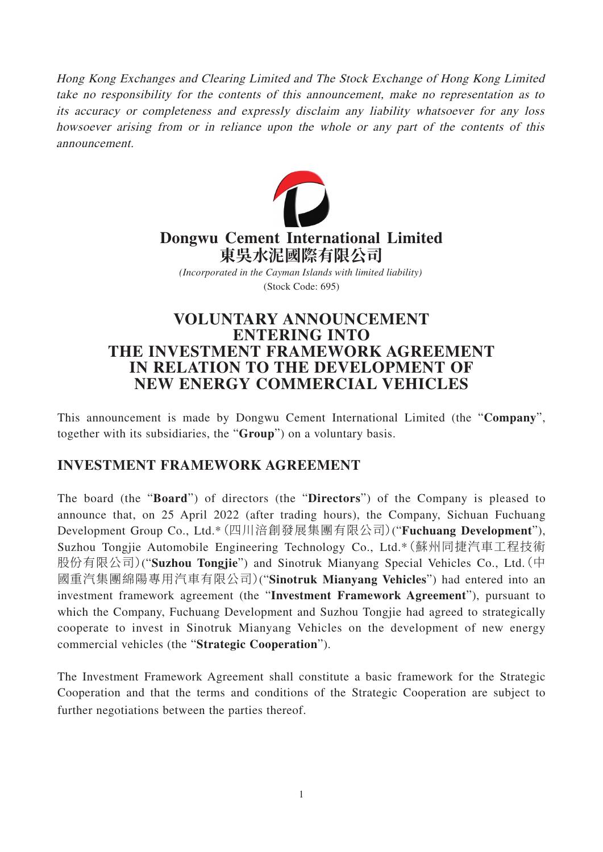Hong Kong Exchanges and Clearing Limited and The Stock Exchange of Hong Kong Limited take no responsibility for the contents of this announcement, make no representation as to its accuracy or completeness and expressly disclaim any liability whatsoever for any loss howsoever arising from or in reliance upon the whole or any part of the contents of this announcement.



# **Dongwu Cement International Limited 東吳水泥國際有限公司**

(Stock Code: 695) *(Incorporated in the Cayman Islands with limited liability)*

## **VOLUNTARY ANNOUNCEMENT ENTERING INTO THE INVESTMENT FRAMEWORK AGREEMENT IN RELATION TO THE DEVELOPMENT OF NEW ENERGY COMMERCIAL VEHICLES**

This announcement is made by Dongwu Cement International Limited (the "**Company**", together with its subsidiaries, the "**Group**") on a voluntary basis.

#### **INVESTMENT FRAMEWORK AGREEMENT**

The board (the "**Board**") of directors (the "**Directors**") of the Company is pleased to announce that, on 25 April 2022 (after trading hours), the Company, Sichuan Fuchuang Development Group Co., Ltd.\*(四川涪創發展集團有限公司)("**Fuchuang Development**"), Suzhou Tongjie Automobile Engineering Technology Co., Ltd.\*(蘇州同捷汽車工程技術 股份有限公司)("**Suzhou Tongjie**") and Sinotruk Mianyang Special Vehicles Co., Ltd.(中 國重汽集團綿陽專用汽車有限公司)("**Sinotruk Mianyang Vehicles**") had entered into an investment framework agreement (the "**Investment Framework Agreement**"), pursuant to which the Company, Fuchuang Development and Suzhou Tongjie had agreed to strategically cooperate to invest in Sinotruk Mianyang Vehicles on the development of new energy commercial vehicles (the "**Strategic Cooperation**").

The Investment Framework Agreement shall constitute a basic framework for the Strategic Cooperation and that the terms and conditions of the Strategic Cooperation are subject to further negotiations between the parties thereof.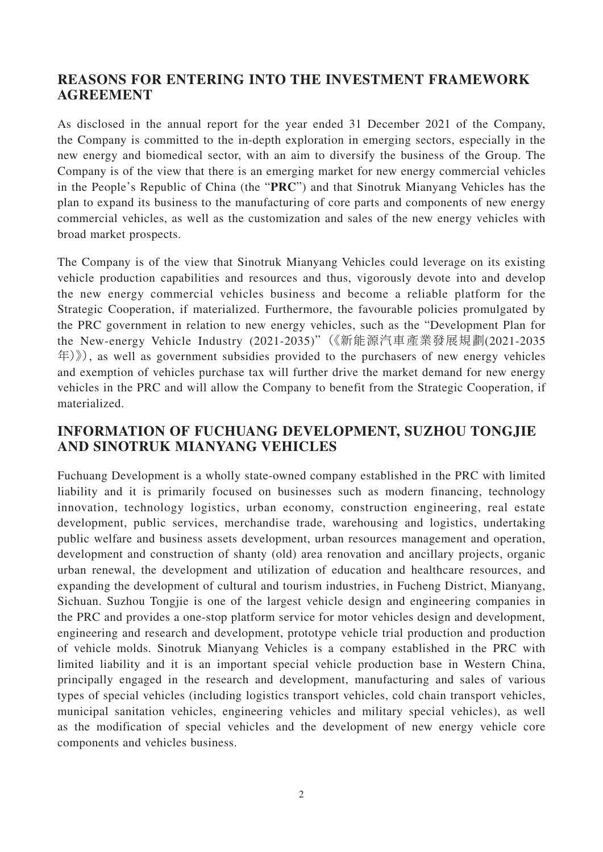#### **REASONS FOR ENTERING INTO THE INVESTMENT FRAMEWORK AGREEMENT**

As disclosed in the annual report for the year ended 31 December 2021 of the Company, the Company is committed to the in-depth exploration in emerging sectors, especially in the new energy and biomedical sector, with an aim to diversify the business of the Group. The Company is of the view that there is an emerging market for new energy commercial vehicles in the People's Republic of China (the "**PRC**") and that Sinotruk Mianyang Vehicles has the plan to expand its business to the manufacturing of core parts and components of new energy commercial vehicles, as well as the customization and sales of the new energy vehicles with broad market prospects.

The Company is of the view that Sinotruk Mianyang Vehicles could leverage on its existing vehicle production capabilities and resources and thus, vigorously devote into and develop the new energy commercial vehicles business and become a reliable platform for the Strategic Cooperation, if materialized. Furthermore, the favourable policies promulgated by the PRC government in relation to new energy vehicles, such as the "Development Plan for the New-energy Vehicle Industry (2021-2035)"(《新能源汽車產業發展規劃(2021-2035  $\langle \pm \rangle$ ), as well as government subsidies provided to the purchasers of new energy vehicles and exemption of vehicles purchase tax will further drive the market demand for new energy vehicles in the PRC and will allow the Company to benefit from the Strategic Cooperation, if materialized.

## **INFORMATION OF FUCHUANG DEVELOPMENT, SUZHOU TONGJIE AND SINOTRUK MIANYANG VEHICLES**

Fuchuang Development is a wholly state-owned company established in the PRC with limited liability and it is primarily focused on businesses such as modern financing, technology innovation, technology logistics, urban economy, construction engineering, real estate development, public services, merchandise trade, warehousing and logistics, undertaking public welfare and business assets development, urban resources management and operation, development and construction of shanty (old) area renovation and ancillary projects, organic urban renewal, the development and utilization of education and healthcare resources, and expanding the development of cultural and tourism industries, in Fucheng District, Mianyang, Sichuan. Suzhou Tongjie is one of the largest vehicle design and engineering companies in the PRC and provides a one-stop platform service for motor vehicles design and development, engineering and research and development, prototype vehicle trial production and production of vehicle molds. Sinotruk Mianyang Vehicles is a company established in the PRC with limited liability and it is an important special vehicle production base in Western China, principally engaged in the research and development, manufacturing and sales of various types of special vehicles (including logistics transport vehicles, cold chain transport vehicles, municipal sanitation vehicles, engineering vehicles and military special vehicles), as well as the modification of special vehicles and the development of new energy vehicle core components and vehicles business.